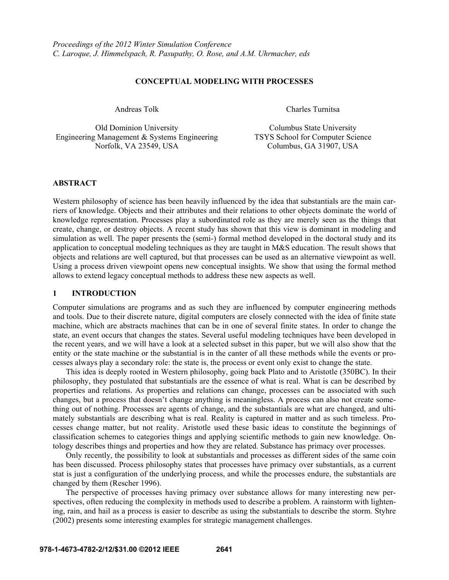## **CONCEPTUAL MODELING WITH PROCESSES**

Engineering Management & Systems Engineering<br>Norfolk, VA 23549, USA

Andreas Tolk Charles Turnitsa

Old Dominion University<br>
Management & Systems Engineering<br>
TSYS School for Computer Science Columbus, GA 31907, USA

### **ABSTRACT**

Western philosophy of science has been heavily influenced by the idea that substantials are the main carriers of knowledge. Objects and their attributes and their relations to other objects dominate the world of knowledge representation. Processes play a subordinated role as they are merely seen as the things that create, change, or destroy objects. A recent study has shown that this view is dominant in modeling and simulation as well. The paper presents the (semi-) formal method developed in the doctoral study and its application to conceptual modeling techniques as they are taught in M&S education. The result shows that objects and relations are well captured, but that processes can be used as an alternative viewpoint as well. Using a process driven viewpoint opens new conceptual insights. We show that using the formal method allows to extend legacy conceptual methods to address these new aspects as well.

### **1 INTRODUCTION**

Computer simulations are programs and as such they are influenced by computer engineering methods and tools. Due to their discrete nature, digital computers are closely connected with the idea of finite state machine, which are abstracts machines that can be in one of several finite states. In order to change the state, an event occurs that changes the states. Several useful modeling techniques have been developed in the recent years, and we will have a look at a selected subset in this paper, but we will also show that the entity or the state machine or the substantial is in the canter of all these methods while the events or processes always play a secondary role: the state is, the process or event only exist to change the state.

This idea is deeply rooted in Western philosophy, going back Plato and to Aristotle (350BC). In their philosophy, they postulated that substantials are the essence of what is real. What is can be described by properties and relations. As properties and relations can change, processes can be associated with such changes, but a process that doesn't change anything is meaningless. A process can also not create something out of nothing. Processes are agents of change, and the substantials are what are changed, and ultimately substantials are describing what is real. Reality is captured in matter and as such timeless. Processes change matter, but not reality. Aristotle used these basic ideas to constitute the beginnings of classification schemes to categories things and applying scientific methods to gain new knowledge. Ontology describes things and properties and how they are related. Substance has primacy over processes.

Only recently, the possibility to look at substantials and processes as different sides of the same coin has been discussed. Process philosophy states that processes have primacy over substantials, as a current stat is just a configuration of the underlying process, and while the processes endure, the substantials are changed by them (Rescher 1996).

The perspective of processes having primacy over substance allows for many interesting new perspectives, often reducing the complexity in methods used to describe a problem. A rainstorm with lightening, rain, and hail as a process is easier to describe as using the substantials to describe the storm. Styhre (2002) presents some interesting examples for strategic management challenges.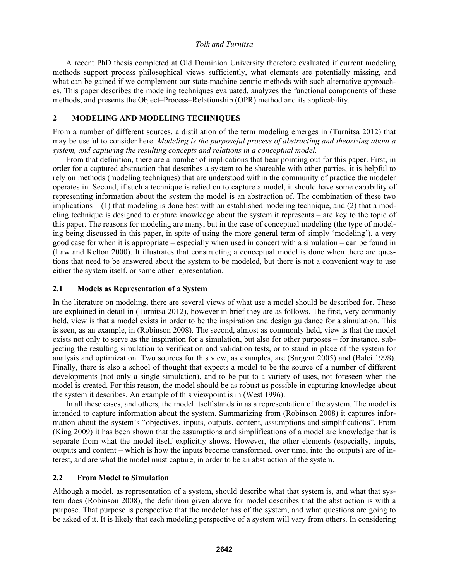A recent PhD thesis completed at Old Dominion University therefore evaluated if current modeling methods support process philosophical views sufficiently, what elements are potentially missing, and what can be gained if we complement our state-machine centric methods with such alternative approaches. This paper describes the modeling techniques evaluated, analyzes the functional components of these methods, and presents the Object–Process–Relationship (OPR) method and its applicability.

## **2 MODELING AND MODELING TECHNIQUES**

From a number of different sources, a distillation of the term modeling emerges in (Turnitsa 2012) that may be useful to consider here: *Modeling is the purposeful process of abstracting and theorizing about a system, and capturing the resulting concepts and relations in a conceptual model.*

 From that definition, there are a number of implications that bear pointing out for this paper. First, in order for a captured abstraction that describes a system to be shareable with other parties, it is helpful to rely on methods (modeling techniques) that are understood within the community of practice the modeler operates in. Second, if such a technique is relied on to capture a model, it should have some capability of representing information about the system the model is an abstraction of. The combination of these two implications  $- (1)$  that modeling is done best with an established modeling technique, and (2) that a modeling technique is designed to capture knowledge about the system it represents – are key to the topic of this paper. The reasons for modeling are many, but in the case of conceptual modeling (the type of modeling being discussed in this paper, in spite of using the more general term of simply 'modeling'), a very good case for when it is appropriate – especially when used in concert with a simulation – can be found in (Law and Kelton 2000). It illustrates that constructing a conceptual model is done when there are questions that need to be answered about the system to be modeled, but there is not a convenient way to use either the system itself, or some other representation.

## **2.1 Models as Representation of a System**

In the literature on modeling, there are several views of what use a model should be described for. These are explained in detail in (Turnitsa 2012), however in brief they are as follows. The first, very commonly held, view is that a model exists in order to be the inspiration and design guidance for a simulation. This is seen, as an example, in (Robinson 2008). The second, almost as commonly held, view is that the model exists not only to serve as the inspiration for a simulation, but also for other purposes – for instance, subjecting the resulting simulation to verification and validation tests, or to stand in place of the system for analysis and optimization. Two sources for this view, as examples, are (Sargent 2005) and (Balci 1998). Finally, there is also a school of thought that expects a model to be the source of a number of different developments (not only a single simulation), and to be put to a variety of uses, not foreseen when the model is created. For this reason, the model should be as robust as possible in capturing knowledge about the system it describes. An example of this viewpoint is in (West 1996).

In all these cases, and others, the model itself stands in as a representation of the system. The model is intended to capture information about the system. Summarizing from (Robinson 2008) it captures information about the system's "objectives, inputs, outputs, content, assumptions and simplifications". From (King 2009) it has been shown that the assumptions and simplifications of a model are knowledge that is separate from what the model itself explicitly shows. However, the other elements (especially, inputs, outputs and content – which is how the inputs become transformed, over time, into the outputs) are of interest, and are what the model must capture, in order to be an abstraction of the system.

## **2.2 From Model to Simulation**

Although a model, as representation of a system, should describe what that system is, and what that system does (Robinson 2008), the definition given above for model describes that the abstraction is with a purpose. That purpose is perspective that the modeler has of the system, and what questions are going to be asked of it. It is likely that each modeling perspective of a system will vary from others. In considering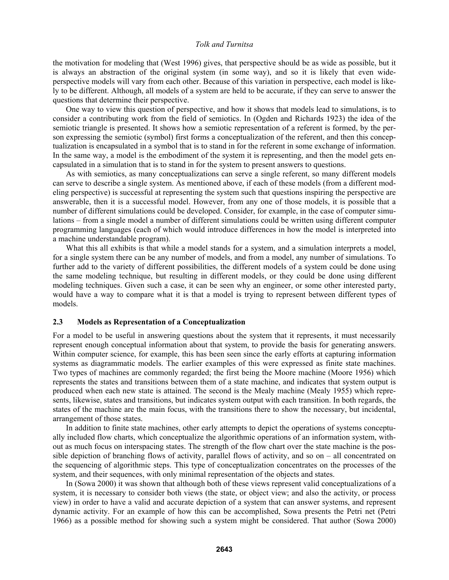the motivation for modeling that (West 1996) gives, that perspective should be as wide as possible, but it is always an abstraction of the original system (in some way), and so it is likely that even wideperspective models will vary from each other. Because of this variation in perspective, each model is likely to be different. Although, all models of a system are held to be accurate, if they can serve to answer the questions that determine their perspective.

One way to view this question of perspective, and how it shows that models lead to simulations, is to consider a contributing work from the field of semiotics. In (Ogden and Richards 1923) the idea of the semiotic triangle is presented. It shows how a semiotic representation of a referent is formed, by the person expressing the semiotic (symbol) first forms a conceptualization of the referent, and then this conceptualization is encapsulated in a symbol that is to stand in for the referent in some exchange of information. In the same way, a model is the embodiment of the system it is representing, and then the model gets encapsulated in a simulation that is to stand in for the system to present answers to questions.

As with semiotics, as many conceptualizations can serve a single referent, so many different models can serve to describe a single system. As mentioned above, if each of these models (from a different modeling perspective) is successful at representing the system such that questions inspiring the perspective are answerable, then it is a successful model. However, from any one of those models, it is possible that a number of different simulations could be developed. Consider, for example, in the case of computer simulations – from a single model a number of different simulations could be written using different computer programming languages (each of which would introduce differences in how the model is interpreted into a machine understandable program).

What this all exhibits is that while a model stands for a system, and a simulation interprets a model, for a single system there can be any number of models, and from a model, any number of simulations. To further add to the variety of different possibilities, the different models of a system could be done using the same modeling technique, but resulting in different models, or they could be done using different modeling techniques. Given such a case, it can be seen why an engineer, or some other interested party, would have a way to compare what it is that a model is trying to represent between different types of models.

## **2.3 Models as Representation of a Conceptualization**

For a model to be useful in answering questions about the system that it represents, it must necessarily represent enough conceptual information about that system, to provide the basis for generating answers. Within computer science, for example, this has been seen since the early efforts at capturing information systems as diagrammatic models. The earlier examples of this were expressed as finite state machines. Two types of machines are commonly regarded; the first being the Moore machine (Moore 1956) which represents the states and transitions between them of a state machine, and indicates that system output is produced when each new state is attained. The second is the Mealy machine (Mealy 1955) which represents, likewise, states and transitions, but indicates system output with each transition. In both regards, the states of the machine are the main focus, with the transitions there to show the necessary, but incidental, arrangement of those states.

In addition to finite state machines, other early attempts to depict the operations of systems conceptually included flow charts, which conceptualize the algorithmic operations of an information system, without as much focus on interspacing states. The strength of the flow chart over the state machine is the possible depiction of branching flows of activity, parallel flows of activity, and so on – all concentrated on the sequencing of algorithmic steps. This type of conceptualization concentrates on the processes of the system, and their sequences, with only minimal representation of the objects and states.

In (Sowa 2000) it was shown that although both of these views represent valid conceptualizations of a system, it is necessary to consider both views (the state, or object view; and also the activity, or process view) in order to have a valid and accurate depiction of a system that can answer systems, and represent dynamic activity. For an example of how this can be accomplished, Sowa presents the Petri net (Petri 1966) as a possible method for showing such a system might be considered. That author (Sowa 2000)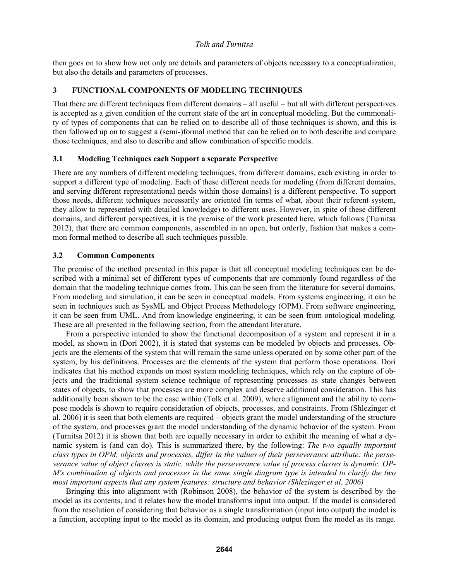then goes on to show how not only are details and parameters of objects necessary to a conceptualization, but also the details and parameters of processes.

# **3 FUNCTIONAL COMPONENTS OF MODELING TECHNIQUES**

That there are different techniques from different domains – all useful – but all with different perspectives is accepted as a given condition of the current state of the art in conceptual modeling. But the commonality of types of components that can be relied on to describe all of those techniques is shown, and this is then followed up on to suggest a (semi-)formal method that can be relied on to both describe and compare those techniques, and also to describe and allow combination of specific models.

# **3.1 Modeling Techniques each Support a separate Perspective**

There are any numbers of different modeling techniques, from different domains, each existing in order to support a different type of modeling. Each of these different needs for modeling (from different domains, and serving different representational needs within those domains) is a different perspective. To support those needs, different techniques necessarily are oriented (in terms of what, about their referent system, they allow to represented with detailed knowledge) to different uses. However, in spite of these different domains, and different perspectives, it is the premise of the work presented here, which follows (Turnitsa 2012), that there are common components, assembled in an open, but orderly, fashion that makes a common formal method to describe all such techniques possible.

## **3.2 Common Components**

The premise of the method presented in this paper is that all conceptual modeling techniques can be described with a minimal set of different types of components that are commonly found regardless of the domain that the modeling technique comes from. This can be seen from the literature for several domains. From modeling and simulation, it can be seen in conceptual models. From systems engineering, it can be seen in techniques such as SysML and Object Process Methodology (OPM). From software engineering, it can be seen from UML. And from knowledge engineering, it can be seen from ontological modeling. These are all presented in the following section, from the attendant literature.

 From a perspective intended to show the functional decomposition of a system and represent it in a model, as shown in (Dori 2002), it is stated that systems can be modeled by objects and processes. Objects are the elements of the system that will remain the same unless operated on by some other part of the system, by his definitions. Processes are the elements of the system that perform those operations. Dori indicates that his method expands on most system modeling techniques, which rely on the capture of objects and the traditional system science technique of representing processes as state changes between states of objects, to show that processes are more complex and deserve additional consideration. This has additionally been shown to be the case within (Tolk et al. 2009), where alignment and the ability to compose models is shown to require consideration of objects, processes, and constraints. From (Shlezinger et al. 2006) it is seen that both elements are required – objects grant the model understanding of the structure of the system, and processes grant the model understanding of the dynamic behavior of the system. From (Turnitsa 2012) it is shown that both are equally necessary in order to exhibit the meaning of what a dynamic system is (and can do). This is summarized there, by the following: *The two equally important class types in OPM, objects and processes, differ in the values of their perseverance attribute: the perseverance value of object classes is static, while the perseverance value of process classes is dynamic. OP-M's combination of objects and processes in the same single diagram type is intended to clarify the two most important aspects that any system features: structure and behavior (Shlezinger et al. 2006)* 

 Bringing this into alignment with (Robinson 2008), the behavior of the system is described by the model as its contents, and it relates how the model transforms input into output. If the model is considered from the resolution of considering that behavior as a single transformation (input into output) the model is a function, accepting input to the model as its domain, and producing output from the model as its range.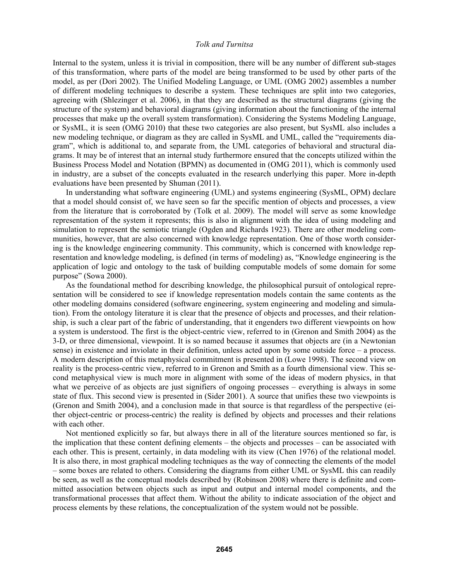Internal to the system, unless it is trivial in composition, there will be any number of different sub-stages of this transformation, where parts of the model are being transformed to be used by other parts of the model, as per (Dori 2002). The Unified Modeling Language, or UML (OMG 2002) assembles a number of different modeling techniques to describe a system. These techniques are split into two categories, agreeing with (Shlezinger et al. 2006), in that they are described as the structural diagrams (giving the structure of the system) and behavioral diagrams (giving information about the functioning of the internal processes that make up the overall system transformation). Considering the Systems Modeling Language, or SysML, it is seen (OMG 2010) that these two categories are also present, but SysML also includes a new modeling technique, or diagram as they are called in SysML and UML, called the "requirements diagram", which is additional to, and separate from, the UML categories of behavioral and structural diagrams. It may be of interest that an internal study furthermore ensured that the concepts utilized within the Business Process Model and Notation (BPMN) as documented in (OMG 2011), which is commonly used in industry, are a subset of the concepts evaluated in the research underlying this paper. More in-depth evaluations have been presented by Shuman (2011).

 In understanding what software engineering (UML) and systems engineering (SysML, OPM) declare that a model should consist of, we have seen so far the specific mention of objects and processes, a view from the literature that is corroborated by (Tolk et al. 2009). The model will serve as some knowledge representation of the system it represents; this is also in alignment with the idea of using modeling and simulation to represent the semiotic triangle (Ogden and Richards 1923). There are other modeling communities, however, that are also concerned with knowledge representation. One of those worth considering is the knowledge engineering community. This community, which is concerned with knowledge representation and knowledge modeling, is defined (in terms of modeling) as, "Knowledge engineering is the application of logic and ontology to the task of building computable models of some domain for some purpose" (Sowa 2000).

 As the foundational method for describing knowledge, the philosophical pursuit of ontological representation will be considered to see if knowledge representation models contain the same contents as the other modeling domains considered (software engineering, system engineering and modeling and simulation). From the ontology literature it is clear that the presence of objects and processes, and their relationship, is such a clear part of the fabric of understanding, that it engenders two different viewpoints on how a system is understood. The first is the object-centric view, referred to in (Grenon and Smith 2004) as the 3-D, or three dimensional, viewpoint. It is so named because it assumes that objects are (in a Newtonian sense) in existence and inviolate in their definition, unless acted upon by some outside force – a process. A modern description of this metaphysical commitment is presented in (Lowe 1998). The second view on reality is the process-centric view, referred to in Grenon and Smith as a fourth dimensional view. This second metaphysical view is much more in alignment with some of the ideas of modern physics, in that what we perceive of as objects are just signifiers of ongoing processes – everything is always in some state of flux. This second view is presented in (Sider 2001). A source that unifies these two viewpoints is (Grenon and Smith 2004), and a conclusion made in that source is that regardless of the perspective (either object-centric or process-centric) the reality is defined by objects and processes and their relations with each other.

 Not mentioned explicitly so far, but always there in all of the literature sources mentioned so far, is the implication that these content defining elements – the objects and processes – can be associated with each other. This is present, certainly, in data modeling with its view (Chen 1976) of the relational model. It is also there, in most graphical modeling techniques as the way of connecting the elements of the model – some boxes are related to others. Considering the diagrams from either UML or SysML this can readily be seen, as well as the conceptual models described by (Robinson 2008) where there is definite and committed association between objects such as input and output and internal model components, and the transformational processes that affect them. Without the ability to indicate association of the object and process elements by these relations, the conceptualization of the system would not be possible.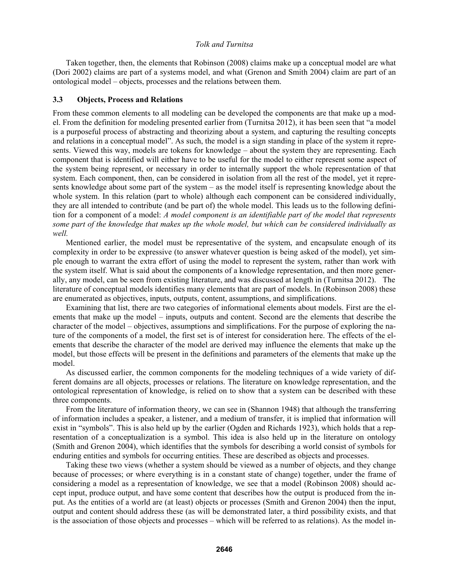Taken together, then, the elements that Robinson (2008) claims make up a conceptual model are what (Dori 2002) claims are part of a systems model, and what (Grenon and Smith 2004) claim are part of an ontological model – objects, processes and the relations between them.

#### **3.3 Objects, Process and Relations**

From these common elements to all modeling can be developed the components are that make up a model. From the definition for modeling presented earlier from (Turnitsa 2012), it has been seen that "a model is a purposeful process of abstracting and theorizing about a system, and capturing the resulting concepts and relations in a conceptual model". As such, the model is a sign standing in place of the system it represents. Viewed this way, models are tokens for knowledge – about the system they are representing. Each component that is identified will either have to be useful for the model to either represent some aspect of the system being represent, or necessary in order to internally support the whole representation of that system. Each component, then, can be considered in isolation from all the rest of the model, yet it represents knowledge about some part of the system – as the model itself is representing knowledge about the whole system. In this relation (part to whole) although each component can be considered individually, they are all intended to contribute (and be part of) the whole model. This leads us to the following definition for a component of a model: *A model component is an identifiable part of the model that represents some part of the knowledge that makes up the whole model, but which can be considered individually as well.* 

 Mentioned earlier, the model must be representative of the system, and encapsulate enough of its complexity in order to be expressive (to answer whatever question is being asked of the model), yet simple enough to warrant the extra effort of using the model to represent the system, rather than work with the system itself. What is said about the components of a knowledge representation, and then more generally, any model, can be seen from existing literature, and was discussed at length in (Turnitsa 2012). The literature of conceptual models identifies many elements that are part of models. In (Robinson 2008) these are enumerated as objectives, inputs, outputs, content, assumptions, and simplifications.

 Examining that list, there are two categories of informational elements about models. First are the elements that make up the model – inputs, outputs and content. Second are the elements that describe the character of the model – objectives, assumptions and simplifications. For the purpose of exploring the nature of the components of a model, the first set is of interest for consideration here. The effects of the elements that describe the character of the model are derived may influence the elements that make up the model, but those effects will be present in the definitions and parameters of the elements that make up the model.

 As discussed earlier, the common components for the modeling techniques of a wide variety of different domains are all objects, processes or relations. The literature on knowledge representation, and the ontological representation of knowledge, is relied on to show that a system can be described with these three components.

 From the literature of information theory, we can see in (Shannon 1948) that although the transferring of information includes a speaker, a listener, and a medium of transfer, it is implied that information will exist in "symbols". This is also held up by the earlier (Ogden and Richards 1923), which holds that a representation of a conceptualization is a symbol. This idea is also held up in the literature on ontology (Smith and Grenon 2004), which identifies that the symbols for describing a world consist of symbols for enduring entities and symbols for occurring entities. These are described as objects and processes.

 Taking these two views (whether a system should be viewed as a number of objects, and they change because of processes; or where everything is in a constant state of change) together, under the frame of considering a model as a representation of knowledge, we see that a model (Robinson 2008) should accept input, produce output, and have some content that describes how the output is produced from the input. As the entities of a world are (at least) objects or processes (Smith and Grenon 2004) then the input, output and content should address these (as will be demonstrated later, a third possibility exists, and that is the association of those objects and processes – which will be referred to as relations). As the model in-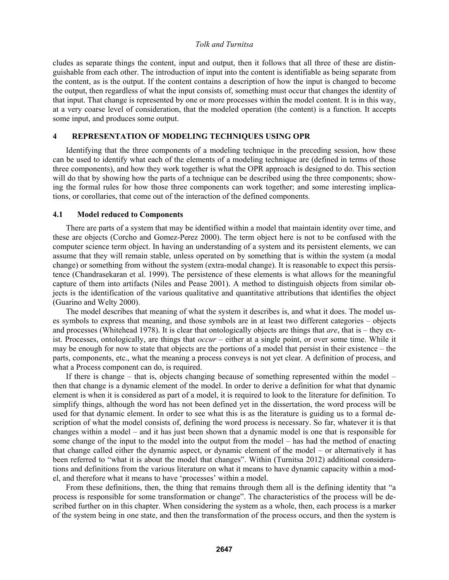cludes as separate things the content, input and output, then it follows that all three of these are distinguishable from each other. The introduction of input into the content is identifiable as being separate from the content, as is the output. If the content contains a description of how the input is changed to become the output, then regardless of what the input consists of, something must occur that changes the identity of that input. That change is represented by one or more processes within the model content. It is in this way, at a very coarse level of consideration, that the modeled operation (the content) is a function. It accepts some input, and produces some output.

## **4 REPRESENTATION OF MODELING TECHNIQUES USING OPR**

 Identifying that the three components of a modeling technique in the preceding session, how these can be used to identify what each of the elements of a modeling technique are (defined in terms of those three components), and how they work together is what the OPR approach is designed to do. This section will do that by showing how the parts of a technique can be described using the three components; showing the formal rules for how those three components can work together; and some interesting implications, or corollaries, that come out of the interaction of the defined components.

#### **4.1 Model reduced to Components**

 There are parts of a system that may be identified within a model that maintain identity over time, and these are objects (Corcho and Gomez-Perez 2000). The term object here is not to be confused with the computer science term object. In having an understanding of a system and its persistent elements, we can assume that they will remain stable, unless operated on by something that is within the system (a modal change) or something from without the system (extra-modal change). It is reasonable to expect this persistence (Chandrasekaran et al. 1999). The persistence of these elements is what allows for the meaningful capture of them into artifacts (Niles and Pease 2001). A method to distinguish objects from similar objects is the identification of the various qualitative and quantitative attributions that identifies the object (Guarino and Welty 2000).

 The model describes that meaning of what the system it describes is, and what it does. The model uses symbols to express that meaning, and those symbols are in at least two different categories – objects and processes (Whitehead 1978). It is clear that ontologically objects are things that *are*, that is – they exist. Processes, ontologically, are things that *occur* – either at a single point, or over some time. While it may be enough for now to state that objects are the portions of a model that persist in their existence – the parts, components, etc., what the meaning a process conveys is not yet clear. A definition of process, and what a Process component can do, is required.

 If there is change – that is, objects changing because of something represented within the model – then that change is a dynamic element of the model. In order to derive a definition for what that dynamic element is when it is considered as part of a model, it is required to look to the literature for definition. To simplify things, although the word has not been defined yet in the dissertation, the word process will be used for that dynamic element. In order to see what this is as the literature is guiding us to a formal description of what the model consists of, defining the word process is necessary. So far, whatever it is that changes within a model – and it has just been shown that a dynamic model is one that is responsible for some change of the input to the model into the output from the model – has had the method of enacting that change called either the dynamic aspect, or dynamic element of the model – or alternatively it has been referred to "what it is about the model that changes". Within (Turnitsa 2012) additional considerations and definitions from the various literature on what it means to have dynamic capacity within a model, and therefore what it means to have 'processes' within a model.

 From these definitions, then, the thing that remains through them all is the defining identity that "a process is responsible for some transformation or change". The characteristics of the process will be described further on in this chapter. When considering the system as a whole, then, each process is a marker of the system being in one state, and then the transformation of the process occurs, and then the system is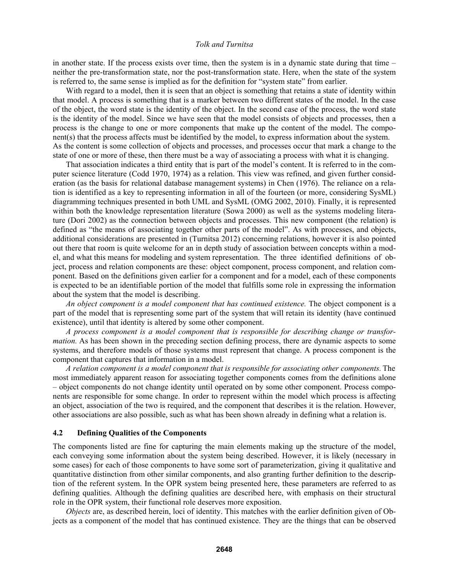in another state. If the process exists over time, then the system is in a dynamic state during that time – neither the pre-transformation state, nor the post-transformation state. Here, when the state of the system is referred to, the same sense is implied as for the definition for "system state" from earlier.

With regard to a model, then it is seen that an object is something that retains a state of identity within that model. A process is something that is a marker between two different states of the model. In the case of the object, the word state is the identity of the object. In the second case of the process, the word state is the identity of the model. Since we have seen that the model consists of objects and processes, then a process is the change to one or more components that make up the content of the model. The component(s) that the process affects must be identified by the model, to express information about the system. As the content is some collection of objects and processes, and processes occur that mark a change to the state of one or more of these, then there must be a way of associating a process with what it is changing.

 That association indicates a third entity that is part of the model's content. It is referred to in the computer science literature (Codd 1970, 1974) as a relation. This view was refined, and given further consideration (as the basis for relational database management systems) in Chen (1976). The reliance on a relation is identified as a key to representing information in all of the fourteen (or more, considering SysML) diagramming techniques presented in both UML and SysML (OMG 2002, 2010). Finally, it is represented within both the knowledge representation literature (Sowa 2000) as well as the systems modeling literature (Dori 2002) as the connection between objects and processes. This new component (the relation) is defined as "the means of associating together other parts of the model". As with processes, and objects, additional considerations are presented in (Turnitsa 2012) concerning relations, however it is also pointed out there that room is quite welcome for an in depth study of association between concepts within a model, and what this means for modeling and system representation. The three identified definitions of object, process and relation components are these: object component, process component, and relation component. Based on the definitions given earlier for a component and for a model, each of these components is expected to be an identifiable portion of the model that fulfills some role in expressing the information about the system that the model is describing.

*An object component is a model component that has continued existence.* The object component is a part of the model that is representing some part of the system that will retain its identity (have continued existence), until that identity is altered by some other component.

*A process component is a model component that is responsible for describing change or transformation*. As has been shown in the preceding section defining process, there are dynamic aspects to some systems, and therefore models of those systems must represent that change. A process component is the component that captures that information in a model.

*A relation component is a model component that is responsible for associating other components.* The most immediately apparent reason for associating together components comes from the definitions alone – object components do not change identity until operated on by some other component. Process components are responsible for some change. In order to represent within the model which process is affecting an object, association of the two is required, and the component that describes it is the relation. However, other associations are also possible, such as what has been shown already in defining what a relation is.

## **4.2 Defining Qualities of the Components**

The components listed are fine for capturing the main elements making up the structure of the model, each conveying some information about the system being described. However, it is likely (necessary in some cases) for each of those components to have some sort of parameterization, giving it qualitative and quantitative distinction from other similar components, and also granting further definition to the description of the referent system. In the OPR system being presented here, these parameters are referred to as defining qualities. Although the defining qualities are described here, with emphasis on their structural role in the OPR system, their functional role deserves more exposition.

*Objects* are, as described herein, loci of identity. This matches with the earlier definition given of Objects as a component of the model that has continued existence. They are the things that can be observed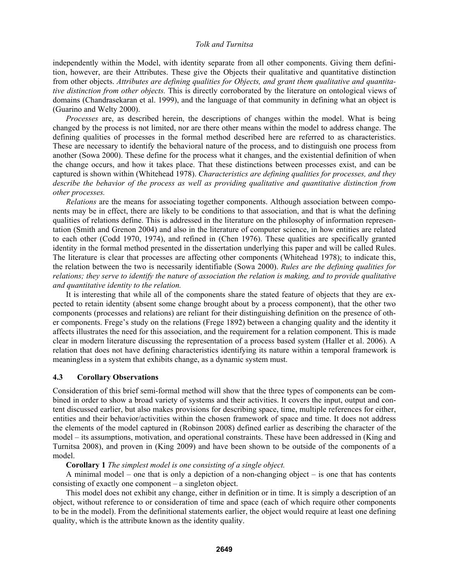independently within the Model, with identity separate from all other components. Giving them definition, however, are their Attributes. These give the Objects their qualitative and quantitative distinction from other objects. *Attributes are defining qualities for Objects, and grant them qualitative and quantitative distinction from other objects.* This is directly corroborated by the literature on ontological views of domains (Chandrasekaran et al. 1999), and the language of that community in defining what an object is (Guarino and Welty 2000).

*Processes* are, as described herein, the descriptions of changes within the model. What is being changed by the process is not limited, nor are there other means within the model to address change. The defining qualities of processes in the formal method described here are referred to as characteristics. These are necessary to identify the behavioral nature of the process, and to distinguish one process from another (Sowa 2000). These define for the process what it changes, and the existential definition of when the change occurs, and how it takes place. That these distinctions between processes exist, and can be captured is shown within (Whitehead 1978). *Characteristics are defining qualities for processes, and they describe the behavior of the process as well as providing qualitative and quantitative distinction from other processes.* 

*Relations* are the means for associating together components. Although association between components may be in effect, there are likely to be conditions to that association, and that is what the defining qualities of relations define. This is addressed in the literature on the philosophy of information representation (Smith and Grenon 2004) and also in the literature of computer science, in how entities are related to each other (Codd 1970, 1974), and refined in (Chen 1976). These qualities are specifically granted identity in the formal method presented in the dissertation underlying this paper and will be called Rules. The literature is clear that processes are affecting other components (Whitehead 1978); to indicate this, the relation between the two is necessarily identifiable (Sowa 2000). *Rules are the defining qualities for relations; they serve to identify the nature of association the relation is making, and to provide qualitative and quantitative identity to the relation.* 

 It is interesting that while all of the components share the stated feature of objects that they are expected to retain identity (absent some change brought about by a process component), that the other two components (processes and relations) are reliant for their distinguishing definition on the presence of other components. Frege's study on the relations (Frege 1892) between a changing quality and the identity it affects illustrates the need for this association, and the requirement for a relation component. This is made clear in modern literature discussing the representation of a process based system (Haller et al. 2006). A relation that does not have defining characteristics identifying its nature within a temporal framework is meaningless in a system that exhibits change, as a dynamic system must.

#### **4.3 Corollary Observations**

Consideration of this brief semi-formal method will show that the three types of components can be combined in order to show a broad variety of systems and their activities. It covers the input, output and content discussed earlier, but also makes provisions for describing space, time, multiple references for either, entities and their behavior/activities within the chosen framework of space and time. It does not address the elements of the model captured in (Robinson 2008) defined earlier as describing the character of the model – its assumptions, motivation, and operational constraints. These have been addressed in (King and Turnitsa 2008), and proven in (King 2009) and have been shown to be outside of the components of a model.

### **Corollary 1** *The simplest model is one consisting of a single object.*

 A minimal model – one that is only a depiction of a non-changing object – is one that has contents consisting of exactly one component – a singleton object.

 This model does not exhibit any change, either in definition or in time. It is simply a description of an object, without reference to or consideration of time and space (each of which require other components to be in the model). From the definitional statements earlier, the object would require at least one defining quality, which is the attribute known as the identity quality.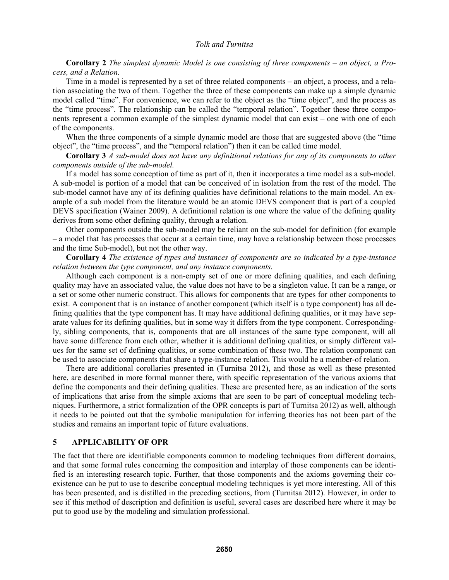**Corollary 2** *The simplest dynamic Model is one consisting of three components – an object, a Process, and a Relation.*

 Time in a model is represented by a set of three related components – an object, a process, and a relation associating the two of them. Together the three of these components can make up a simple dynamic model called "time". For convenience, we can refer to the object as the "time object", and the process as the "time process". The relationship can be called the "temporal relation". Together these three components represent a common example of the simplest dynamic model that can exist – one with one of each of the components.

 When the three components of a simple dynamic model are those that are suggested above (the "time object", the "time process", and the "temporal relation") then it can be called time model.

 **Corollary 3** *A sub-model does not have any definitional relations for any of its components to other components outside of the sub-model.*

 If a model has some conception of time as part of it, then it incorporates a time model as a sub-model. A sub-model is portion of a model that can be conceived of in isolation from the rest of the model. The sub-model cannot have any of its defining qualities have definitional relations to the main model. An example of a sub model from the literature would be an atomic DEVS component that is part of a coupled DEVS specification (Wainer 2009). A definitional relation is one where the value of the defining quality derives from some other defining quality, through a relation.

 Other components outside the sub-model may be reliant on the sub-model for definition (for example – a model that has processes that occur at a certain time, may have a relationship between those processes and the time Sub-model), but not the other way.

 **Corollary 4** *The existence of types and instances of components are so indicated by a type-instance relation between the type component, and any instance components.* 

 Although each component is a non-empty set of one or more defining qualities, and each defining quality may have an associated value, the value does not have to be a singleton value. It can be a range, or a set or some other numeric construct. This allows for components that are types for other components to exist. A component that is an instance of another component (which itself is a type component) has all defining qualities that the type component has. It may have additional defining qualities, or it may have separate values for its defining qualities, but in some way it differs from the type component. Correspondingly, sibling components, that is, components that are all instances of the same type component, will all have some difference from each other, whether it is additional defining qualities, or simply different values for the same set of defining qualities, or some combination of these two. The relation component can be used to associate components that share a type-instance relation. This would be a member-of relation.

There are additional corollaries presented in (Turnitsa 2012), and those as well as these presented here, are described in more formal manner there, with specific representation of the various axioms that define the components and their defining qualities. These are presented here, as an indication of the sorts of implications that arise from the simple axioms that are seen to be part of conceptual modeling techniques. Furthermore, a strict formalization of the OPR concepts is part of Turnitsa 2012) as well, although it needs to be pointed out that the symbolic manipulation for inferring theories has not been part of the studies and remains an important topic of future evaluations.

## **5 APPLICABILITY OF OPR**

The fact that there are identifiable components common to modeling techniques from different domains, and that some formal rules concerning the composition and interplay of those components can be identified is an interesting research topic. Further, that those components and the axioms governing their coexistence can be put to use to describe conceptual modeling techniques is yet more interesting. All of this has been presented, and is distilled in the preceding sections, from (Turnitsa 2012). However, in order to see if this method of description and definition is useful, several cases are described here where it may be put to good use by the modeling and simulation professional.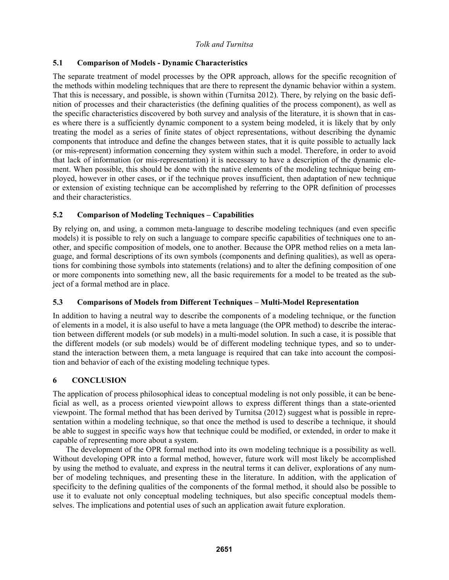# **5.1 Comparison of Models - Dynamic Characteristics**

The separate treatment of model processes by the OPR approach, allows for the specific recognition of the methods within modeling techniques that are there to represent the dynamic behavior within a system. That this is necessary, and possible, is shown within (Turnitsa 2012). There, by relying on the basic definition of processes and their characteristics (the defining qualities of the process component), as well as the specific characteristics discovered by both survey and analysis of the literature, it is shown that in cases where there is a sufficiently dynamic component to a system being modeled, it is likely that by only treating the model as a series of finite states of object representations, without describing the dynamic components that introduce and define the changes between states, that it is quite possible to actually lack (or mis-represent) information concerning they system within such a model. Therefore, in order to avoid that lack of information (or mis-representation) it is necessary to have a description of the dynamic element. When possible, this should be done with the native elements of the modeling technique being employed, however in other cases, or if the technique proves insufficient, then adaptation of new technique or extension of existing technique can be accomplished by referring to the OPR definition of processes and their characteristics.

# **5.2 Comparison of Modeling Techniques – Capabilities**

By relying on, and using, a common meta-language to describe modeling techniques (and even specific models) it is possible to rely on such a language to compare specific capabilities of techniques one to another, and specific composition of models, one to another. Because the OPR method relies on a meta language, and formal descriptions of its own symbols (components and defining qualities), as well as operations for combining those symbols into statements (relations) and to alter the defining composition of one or more components into something new, all the basic requirements for a model to be treated as the subject of a formal method are in place.

# **5.3 Comparisons of Models from Different Techniques – Multi-Model Representation**

In addition to having a neutral way to describe the components of a modeling technique, or the function of elements in a model, it is also useful to have a meta language (the OPR method) to describe the interaction between different models (or sub models) in a multi-model solution. In such a case, it is possible that the different models (or sub models) would be of different modeling technique types, and so to understand the interaction between them, a meta language is required that can take into account the composition and behavior of each of the existing modeling technique types.

# **6 CONCLUSION**

The application of process philosophical ideas to conceptual modeling is not only possible, it can be beneficial as well, as a process oriented viewpoint allows to express different things than a state-oriented viewpoint. The formal method that has been derived by Turnitsa (2012) suggest what is possible in representation within a modeling technique, so that once the method is used to describe a technique, it should be able to suggest in specific ways how that technique could be modified, or extended, in order to make it capable of representing more about a system.

 The development of the OPR formal method into its own modeling technique is a possibility as well. Without developing OPR into a formal method, however, future work will most likely be accomplished by using the method to evaluate, and express in the neutral terms it can deliver, explorations of any number of modeling techniques, and presenting these in the literature. In addition, with the application of specificity to the defining qualities of the components of the formal method, it should also be possible to use it to evaluate not only conceptual modeling techniques, but also specific conceptual models themselves. The implications and potential uses of such an application await future exploration.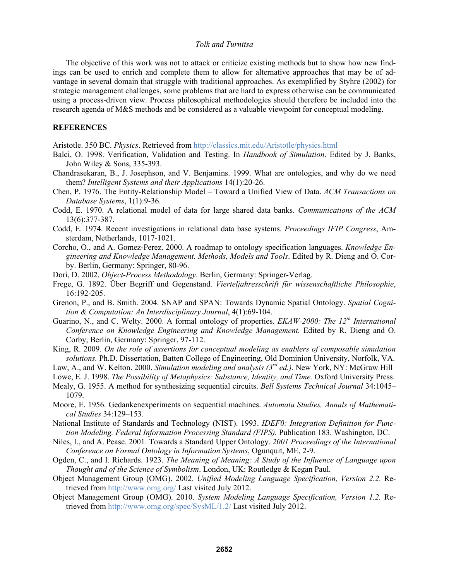The objective of this work was not to attack or criticize existing methods but to show how new findings can be used to enrich and complete them to allow for alternative approaches that may be of advantage in several domain that struggle with traditional approaches. As exemplified by Styhre (2002) for strategic management challenges, some problems that are hard to express otherwise can be communicated using a process-driven view. Process philosophical methodologies should therefore be included into the research agenda of M&S methods and be considered as a valuable viewpoint for conceptual modeling.

#### **REFERENCES**

Aristotle. 350 BC. *Physics*. Retrieved from http://classics.mit.edu/Aristotle/physics.html

- Balci, O. 1998. Verification, Validation and Testing. In *Handbook of Simulation*. Edited by J. Banks, John Wiley & Sons, 335-393.
- Chandrasekaran, B., J. Josephson, and V. Benjamins. 1999. What are ontologies, and why do we need them? *Intelligent Systems and their Applications* 14(1):20-26.
- Chen, P. 1976. The Entity-Relationship Model Toward a Unified View of Data. *ACM Transactions on Database Systems*, 1(1):9-36.
- Codd, E. 1970. A relational model of data for large shared data banks. *Communications of the ACM*  13(6):377-387.
- Codd, E. 1974. Recent investigations in relational data base systems. *Proceedings IFIP Congress*, Amsterdam, Netherlands, 1017-1021.
- Corcho, O., and A. Gomez-Perez. 2000. A roadmap to ontology specification languages. *Knowledge Engineering and Knowledge Management. Methods, Models and Tools*. Edited by R. Dieng and O. Corby. Berlin, Germany: Springer, 80-96.
- Dori, D. 2002. *Object-Process Methodology*. Berlin, Germany: Springer-Verlag.
- Frege, G. 1892. Über Begriff und Gegenstand. *Vierteljahresschrift für wissenschaftliche Philosophie*, 16:192-205.
- Grenon, P., and B. Smith. 2004. SNAP and SPAN: Towards Dynamic Spatial Ontology. *Spatial Cognition & Computation: An Interdisciplinary Journal*, 4(1):69-104.
- Guarino, N., and C. Welty. 2000. A formal ontology of properties. *EKAW-2000: The 12<sup>th</sup> International Conference on Knowledge Engineering and Knowledge Management.* Edited by R. Dieng and O. Corby, Berlin, Germany: Springer, 97-112.
- King, R. 2009. *On the role of assertions for conceptual modeling as enablers of composable simulation solutions.* Ph.D. Dissertation, Batten College of Engineering, Old Dominion University, Norfolk, VA.

Law, A., and W. Kelton. 2000. *Simulation modeling and analysis (3rd ed.)*. New York, NY: McGraw Hill

Lowe, E. J. 1998. *The Possibility of Metaphysics: Substance, Identity, and Time.* Oxford University Press.

- Mealy, G. 1955. A method for synthesizing sequential circuits. *Bell Systems Technical Journal* 34:1045– 1079.
- Moore, E. 1956. Gedankenexperiments on sequential machines. *Automata Studies, Annals of Mathematical Studies* 34:129–153.
- National Institute of Standards and Technology (NIST). 1993. *IDEF0: Integration Definition for Function Modeling. Federal Information Processing Standard (FIPS).* Publication 183. Washington, DC.
- Niles, I., and A. Pease. 2001. Towards a Standard Upper Ontology. *2001 Proceedings of the International Conference on Formal Ontology in Information Systems*, Ogunquit, ME, 2-9.
- Ogden, C., and I. Richards. 1923. *The Meaning of Meaning: A Study of the Influence of Language upon Thought and of the Science of Symbolism*. London, UK: Routledge & Kegan Paul.
- Object Management Group (OMG). 2002. *Unified Modeling Language Specification, Version 2.2.* Retrieved from http://www.omg.org/ Last visited July 2012.
- Object Management Group (OMG). 2010. *System Modeling Language Specification, Version 1.2.* Retrieved from http://www.omg.org/spec/SysML/1.2/ Last visited July 2012.